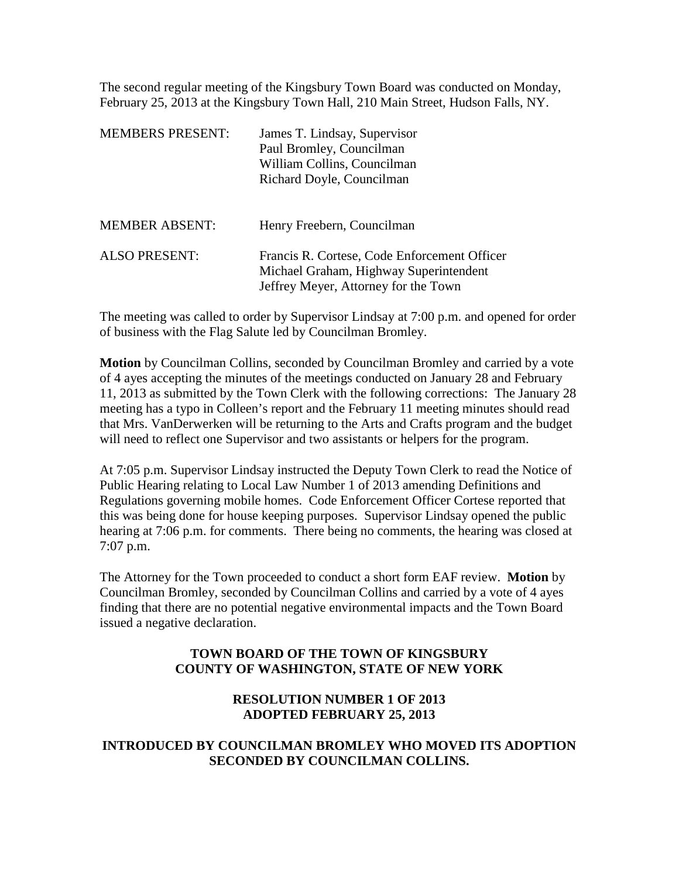The second regular meeting of the Kingsbury Town Board was conducted on Monday, February 25, 2013 at the Kingsbury Town Hall, 210 Main Street, Hudson Falls, NY.

| <b>MEMBERS PRESENT:</b> | James T. Lindsay, Supervisor<br>Paul Bromley, Councilman<br>William Collins, Councilman<br>Richard Doyle, Councilman           |
|-------------------------|--------------------------------------------------------------------------------------------------------------------------------|
| <b>MEMBER ABSENT:</b>   | Henry Freebern, Councilman                                                                                                     |
| <b>ALSO PRESENT:</b>    | Francis R. Cortese, Code Enforcement Officer<br>Michael Graham, Highway Superintendent<br>Jeffrey Meyer, Attorney for the Town |

The meeting was called to order by Supervisor Lindsay at 7:00 p.m. and opened for order of business with the Flag Salute led by Councilman Bromley.

**Motion** by Councilman Collins, seconded by Councilman Bromley and carried by a vote of 4 ayes accepting the minutes of the meetings conducted on January 28 and February 11, 2013 as submitted by the Town Clerk with the following corrections: The January 28 meeting has a typo in Colleen's report and the February 11 meeting minutes should read that Mrs. VanDerwerken will be returning to the Arts and Crafts program and the budget will need to reflect one Supervisor and two assistants or helpers for the program.

At 7:05 p.m. Supervisor Lindsay instructed the Deputy Town Clerk to read the Notice of Public Hearing relating to Local Law Number 1 of 2013 amending Definitions and Regulations governing mobile homes. Code Enforcement Officer Cortese reported that this was being done for house keeping purposes. Supervisor Lindsay opened the public hearing at 7:06 p.m. for comments. There being no comments, the hearing was closed at 7:07 p.m.

The Attorney for the Town proceeded to conduct a short form EAF review. **Motion** by Councilman Bromley, seconded by Councilman Collins and carried by a vote of 4 ayes finding that there are no potential negative environmental impacts and the Town Board issued a negative declaration.

## **TOWN BOARD OF THE TOWN OF KINGSBURY COUNTY OF WASHINGTON, STATE OF NEW YORK**

## **RESOLUTION NUMBER 1 OF 2013 ADOPTED FEBRUARY 25, 2013**

## **INTRODUCED BY COUNCILMAN BROMLEY WHO MOVED ITS ADOPTION SECONDED BY COUNCILMAN COLLINS.**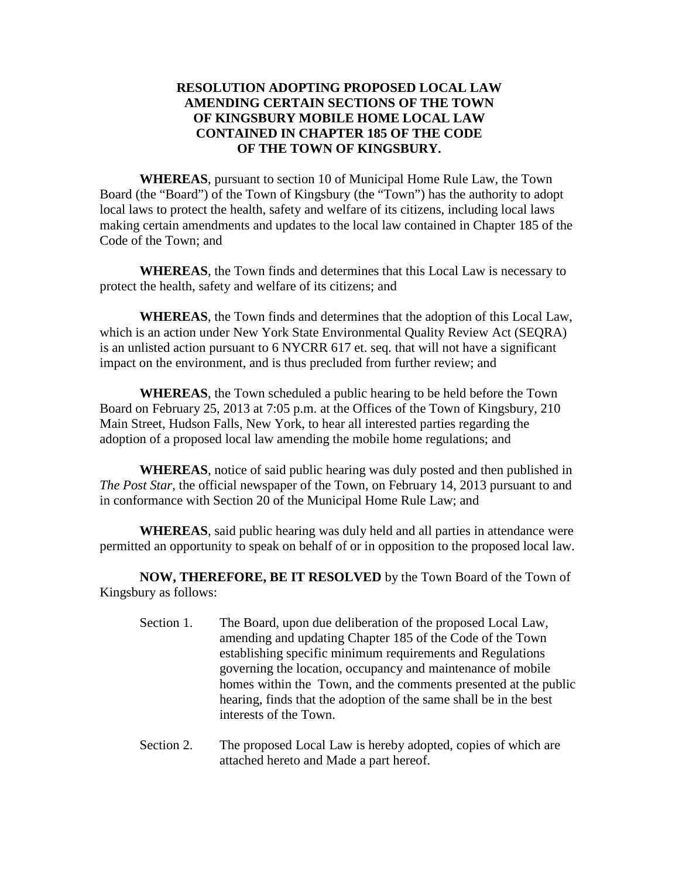## **RESOLUTION ADOPTING PROPOSED LOCAL LAW AMENDING CERTAIN SECTIONS OF THE TOWN OF KINGSBURY MOBILE HOME LOCAL LAW CONTAINED IN CHAPTER 185 OF THE CODE OF THE TOWN OF KINGSBURY.**

**WHEREAS**, pursuant to section 10 of Municipal Home Rule Law, the Town Board (the "Board") of the Town of Kingsbury (the "Town") has the authority to adopt local laws to protect the health, safety and welfare of its citizens, including local laws making certain amendments and updates to the local law contained in Chapter 185 of the Code of the Town; and

**WHEREAS**, the Town finds and determines that this Local Law is necessary to protect the health, safety and welfare of its citizens; and

**WHEREAS**, the Town finds and determines that the adoption of this Local Law, which is an action under New York State Environmental Quality Review Act (SEQRA) is an unlisted action pursuant to 6 NYCRR 617 et. seq. that will not have a significant impact on the environment, and is thus precluded from further review; and

**WHEREAS**, the Town scheduled a public hearing to be held before the Town Board on February 25, 2013 at 7:05 p.m. at the Offices of the Town of Kingsbury, 210 Main Street, Hudson Falls, New York, to hear all interested parties regarding the adoption of a proposed local law amending the mobile home regulations; and

**WHEREAS**, notice of said public hearing was duly posted and then published in *The Post Star*, the official newspaper of the Town, on February 14, 2013 pursuant to and in conformance with Section 20 of the Municipal Home Rule Law; and

**WHEREAS**, said public hearing was duly held and all parties in attendance were permitted an opportunity to speak on behalf of or in opposition to the proposed local law.

**NOW, THEREFORE, BE IT RESOLVED** by the Town Board of the Town of Kingsbury as follows:

- Section 1. The Board, upon due deliberation of the proposed Local Law, amending and updating Chapter 185 of the Code of the Town establishing specific minimum requirements and Regulations governing the location, occupancy and maintenance of mobile homes within the Town, and the comments presented at the public hearing, finds that the adoption of the same shall be in the best interests of the Town.
- Section 2. The proposed Local Law is hereby adopted, copies of which are attached hereto and Made a part hereof.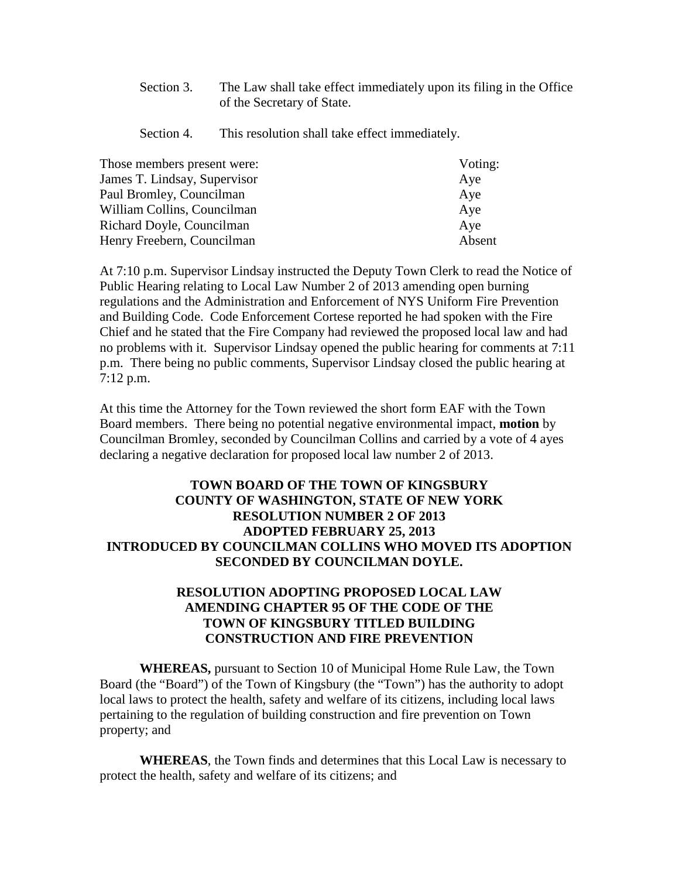Section 3. The Law shall take effect immediately upon its filing in the Office of the Secretary of State.

Section 4. This resolution shall take effect immediately.

| Those members present were:  | Voting: |
|------------------------------|---------|
| James T. Lindsay, Supervisor | Aye     |
| Paul Bromley, Councilman     | Aye     |
| William Collins, Councilman  | Aye     |
| Richard Doyle, Councilman    | Aye     |
| Henry Freebern, Councilman   | Absent  |

At 7:10 p.m. Supervisor Lindsay instructed the Deputy Town Clerk to read the Notice of Public Hearing relating to Local Law Number 2 of 2013 amending open burning regulations and the Administration and Enforcement of NYS Uniform Fire Prevention and Building Code. Code Enforcement Cortese reported he had spoken with the Fire Chief and he stated that the Fire Company had reviewed the proposed local law and had no problems with it. Supervisor Lindsay opened the public hearing for comments at 7:11 p.m. There being no public comments, Supervisor Lindsay closed the public hearing at 7:12 p.m.

At this time the Attorney for the Town reviewed the short form EAF with the Town Board members. There being no potential negative environmental impact, **motion** by Councilman Bromley, seconded by Councilman Collins and carried by a vote of 4 ayes declaring a negative declaration for proposed local law number 2 of 2013.

# **TOWN BOARD OF THE TOWN OF KINGSBURY COUNTY OF WASHINGTON, STATE OF NEW YORK RESOLUTION NUMBER 2 OF 2013 ADOPTED FEBRUARY 25, 2013 INTRODUCED BY COUNCILMAN COLLINS WHO MOVED ITS ADOPTION SECONDED BY COUNCILMAN DOYLE.**

## **RESOLUTION ADOPTING PROPOSED LOCAL LAW AMENDING CHAPTER 95 OF THE CODE OF THE TOWN OF KINGSBURY TITLED BUILDING CONSTRUCTION AND FIRE PREVENTION**

**WHEREAS,** pursuant to Section 10 of Municipal Home Rule Law, the Town Board (the "Board") of the Town of Kingsbury (the "Town") has the authority to adopt local laws to protect the health, safety and welfare of its citizens, including local laws pertaining to the regulation of building construction and fire prevention on Town property; and

**WHEREAS**, the Town finds and determines that this Local Law is necessary to protect the health, safety and welfare of its citizens; and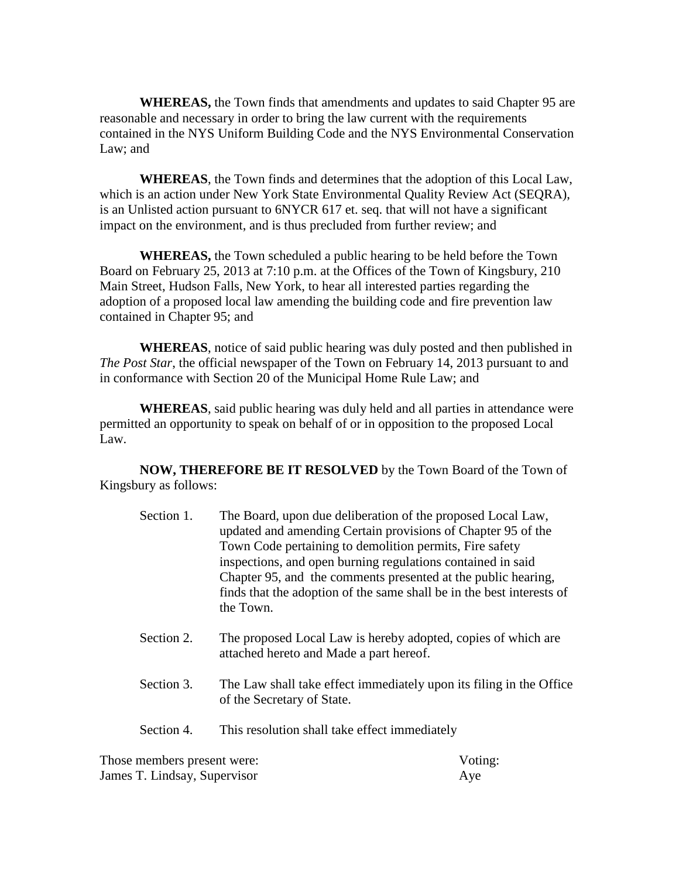**WHEREAS,** the Town finds that amendments and updates to said Chapter 95 are reasonable and necessary in order to bring the law current with the requirements contained in the NYS Uniform Building Code and the NYS Environmental Conservation Law; and

**WHEREAS**, the Town finds and determines that the adoption of this Local Law, which is an action under New York State Environmental Quality Review Act (SEQRA), is an Unlisted action pursuant to 6NYCR 617 et. seq. that will not have a significant impact on the environment, and is thus precluded from further review; and

**WHEREAS,** the Town scheduled a public hearing to be held before the Town Board on February 25, 2013 at 7:10 p.m. at the Offices of the Town of Kingsbury, 210 Main Street, Hudson Falls, New York, to hear all interested parties regarding the adoption of a proposed local law amending the building code and fire prevention law contained in Chapter 95; and

**WHEREAS**, notice of said public hearing was duly posted and then published in *The Post Star*, the official newspaper of the Town on February 14, 2013 pursuant to and in conformance with Section 20 of the Municipal Home Rule Law; and

**WHEREAS**, said public hearing was duly held and all parties in attendance were permitted an opportunity to speak on behalf of or in opposition to the proposed Local Law.

**NOW, THEREFORE BE IT RESOLVED** by the Town Board of the Town of Kingsbury as follows:

- Section 1. The Board, upon due deliberation of the proposed Local Law, updated and amending Certain provisions of Chapter 95 of the Town Code pertaining to demolition permits, Fire safety inspections, and open burning regulations contained in said Chapter 95, and the comments presented at the public hearing, finds that the adoption of the same shall be in the best interests of the Town.
- Section 2. The proposed Local Law is hereby adopted, copies of which are attached hereto and Made a part hereof.
- Section 3. The Law shall take effect immediately upon its filing in the Office of the Secretary of State.
- Section 4. This resolution shall take effect immediately

Those members present were: Voting: James T. Lindsay, Supervisor Aye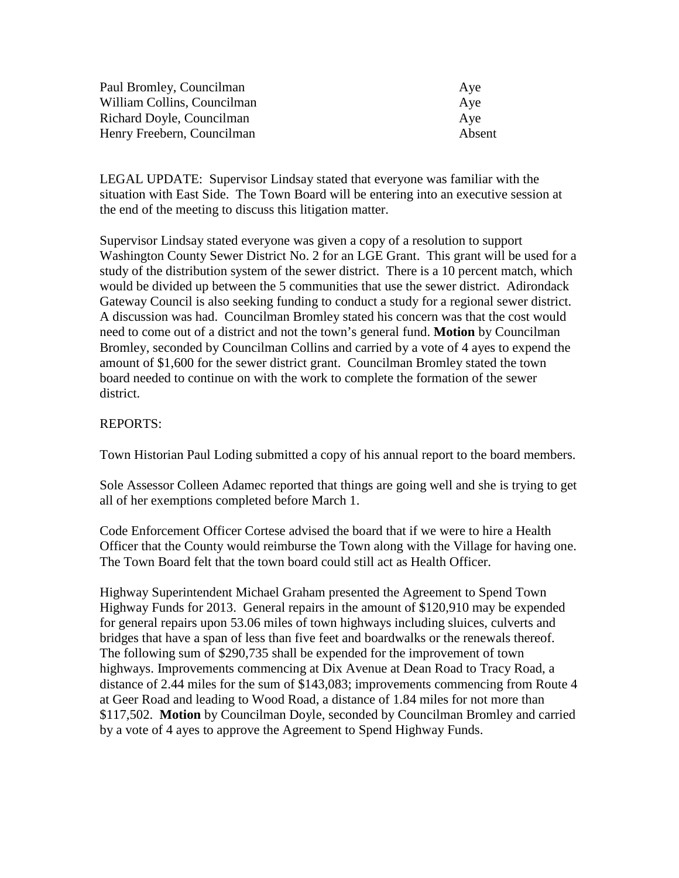| Paul Bromley, Councilman    | Aye    |
|-----------------------------|--------|
| William Collins, Councilman | Ave    |
| Richard Doyle, Councilman   | Ave    |
| Henry Freebern, Councilman  | Absent |

LEGAL UPDATE: Supervisor Lindsay stated that everyone was familiar with the situation with East Side. The Town Board will be entering into an executive session at the end of the meeting to discuss this litigation matter.

Supervisor Lindsay stated everyone was given a copy of a resolution to support Washington County Sewer District No. 2 for an LGE Grant. This grant will be used for a study of the distribution system of the sewer district. There is a 10 percent match, which would be divided up between the 5 communities that use the sewer district. Adirondack Gateway Council is also seeking funding to conduct a study for a regional sewer district. A discussion was had. Councilman Bromley stated his concern was that the cost would need to come out of a district and not the town's general fund. **Motion** by Councilman Bromley, seconded by Councilman Collins and carried by a vote of 4 ayes to expend the amount of \$1,600 for the sewer district grant. Councilman Bromley stated the town board needed to continue on with the work to complete the formation of the sewer district.

### REPORTS:

Town Historian Paul Loding submitted a copy of his annual report to the board members.

Sole Assessor Colleen Adamec reported that things are going well and she is trying to get all of her exemptions completed before March 1.

Code Enforcement Officer Cortese advised the board that if we were to hire a Health Officer that the County would reimburse the Town along with the Village for having one. The Town Board felt that the town board could still act as Health Officer.

Highway Superintendent Michael Graham presented the Agreement to Spend Town Highway Funds for 2013. General repairs in the amount of \$120,910 may be expended for general repairs upon 53.06 miles of town highways including sluices, culverts and bridges that have a span of less than five feet and boardwalks or the renewals thereof. The following sum of \$290,735 shall be expended for the improvement of town highways. Improvements commencing at Dix Avenue at Dean Road to Tracy Road, a distance of 2.44 miles for the sum of \$143,083; improvements commencing from Route 4 at Geer Road and leading to Wood Road, a distance of 1.84 miles for not more than \$117,502. **Motion** by Councilman Doyle, seconded by Councilman Bromley and carried by a vote of 4 ayes to approve the Agreement to Spend Highway Funds.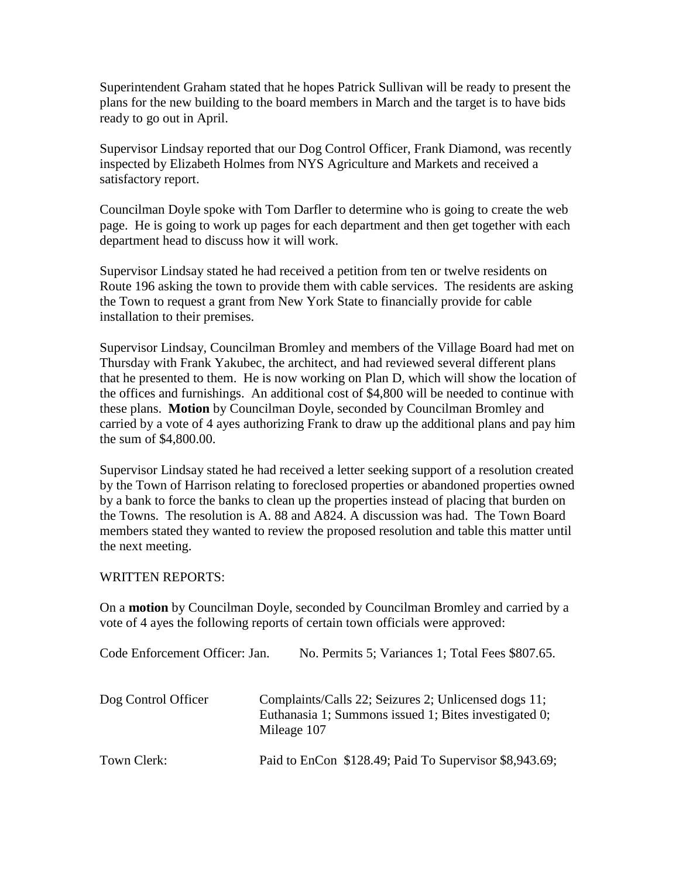Superintendent Graham stated that he hopes Patrick Sullivan will be ready to present the plans for the new building to the board members in March and the target is to have bids ready to go out in April.

Supervisor Lindsay reported that our Dog Control Officer, Frank Diamond, was recently inspected by Elizabeth Holmes from NYS Agriculture and Markets and received a satisfactory report.

Councilman Doyle spoke with Tom Darfler to determine who is going to create the web page. He is going to work up pages for each department and then get together with each department head to discuss how it will work.

Supervisor Lindsay stated he had received a petition from ten or twelve residents on Route 196 asking the town to provide them with cable services. The residents are asking the Town to request a grant from New York State to financially provide for cable installation to their premises.

Supervisor Lindsay, Councilman Bromley and members of the Village Board had met on Thursday with Frank Yakubec, the architect, and had reviewed several different plans that he presented to them. He is now working on Plan D, which will show the location of the offices and furnishings. An additional cost of \$4,800 will be needed to continue with these plans. **Motion** by Councilman Doyle, seconded by Councilman Bromley and carried by a vote of 4 ayes authorizing Frank to draw up the additional plans and pay him the sum of \$4,800.00.

Supervisor Lindsay stated he had received a letter seeking support of a resolution created by the Town of Harrison relating to foreclosed properties or abandoned properties owned by a bank to force the banks to clean up the properties instead of placing that burden on the Towns. The resolution is A. 88 and A824. A discussion was had. The Town Board members stated they wanted to review the proposed resolution and table this matter until the next meeting.

### WRITTEN REPORTS:

On a **motion** by Councilman Doyle, seconded by Councilman Bromley and carried by a vote of 4 ayes the following reports of certain town officials were approved:

| Code Enforcement Officer: Jan. | No. Permits 5; Variances 1; Total Fees \$807.65.                                                                             |
|--------------------------------|------------------------------------------------------------------------------------------------------------------------------|
| Dog Control Officer            | Complaints/Calls 22; Seizures 2; Unlicensed dogs 11;<br>Euthanasia 1; Summons issued 1; Bites investigated 0;<br>Mileage 107 |
| Town Clerk:                    | Paid to EnCon \$128.49; Paid To Supervisor \$8,943.69;                                                                       |